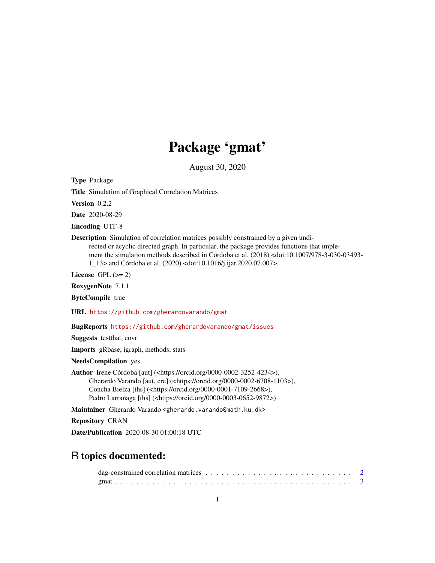## Package 'gmat'

August 30, 2020

<span id="page-0-0"></span>Type Package

Title Simulation of Graphical Correlation Matrices

Version 0.2.2

Date 2020-08-29

Encoding UTF-8

Description Simulation of correlation matrices possibly constrained by a given undirected or acyclic directed graph. In particular, the package provides functions that implement the simulation methods described in Córdoba et al. (2018) <doi:10.1007/978-3-030-03493- 1\_13> and Córdoba et al. (2020) <doi:10.1016/j.ijar.2020.07.007>.

License GPL  $(>= 2)$ 

RoxygenNote 7.1.1

ByteCompile true

URL <https://github.com/gherardovarando/gmat>

BugReports <https://github.com/gherardovarando/gmat/issues>

Suggests testthat, covr

Imports gRbase, igraph, methods, stats

NeedsCompilation yes

Author Irene Córdoba [aut] (<https://orcid.org/0000-0002-3252-4234>), Gherardo Varando [aut, cre] (<https://orcid.org/0000-0002-6708-1103>), Concha Bielza [ths] (<https://orcid.org/0000-0001-7109-2668>), Pedro Larrañaga [ths] (<https://orcid.org/0000-0003-0652-9872>)

Maintainer Gherardo Varando <gherardo.varando@math.ku.dk>

Repository CRAN

Date/Publication 2020-08-30 01:00:18 UTC

### R topics documented: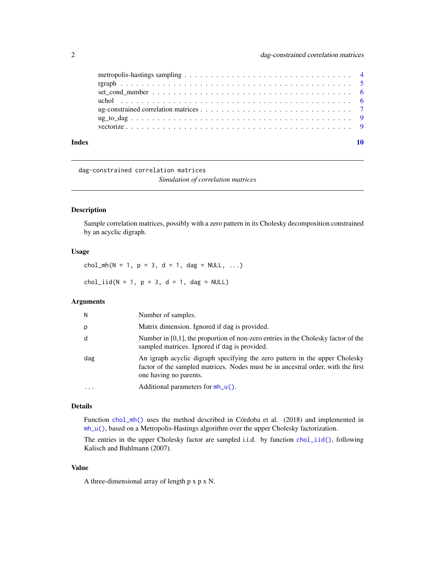<span id="page-1-0"></span>

| Index |  |
|-------|--|
|       |  |
|       |  |
|       |  |
|       |  |
|       |  |
|       |  |
|       |  |

dag-constrained correlation matrices

*Simulation of correlation matrices*

#### <span id="page-1-1"></span>Description

Sample correlation matrices, possibly with a zero pattern in its Cholesky decomposition constrained by an acyclic digraph.

#### Usage

chol\_mh(N = 1, p = 3, d = 1, dag = NULL, ...)

 $chol\_iid(N = 1, p = 3, d = 1, dag = NULL)$ 

#### Arguments

| N         | Number of samples.                                                                                                                                                                        |
|-----------|-------------------------------------------------------------------------------------------------------------------------------------------------------------------------------------------|
| р         | Matrix dimension. Ignored if dag is provided.                                                                                                                                             |
| d         | Number in $[0,1]$ , the proportion of non-zero entries in the Cholesky factor of the<br>sampled matrices. Ignored if dag is provided.                                                     |
| dag       | An igraph acyclic digraph specifying the zero pattern in the upper Cholesky<br>factor of the sampled matrices. Nodes must be in ancestral order, with the first<br>one having no parents. |
| $\ddotsc$ | Additional parameters for $mh_u()$ .                                                                                                                                                      |

#### Details

Function [chol\\_mh\(\)](#page-1-1) uses the method described in Córdoba et al. (2018) and implemented in [mh\\_u\(\)](#page-3-1), based on a Metropolis-Hastings algorithm over the upper Cholesky factorization.

The entries in the upper Cholesky factor are sampled i.i.d. by function [chol\\_iid\(\)](#page-1-1), following Kalisch and Buhlmann (2007).

### Value

A three-dimensional array of length p x p x N.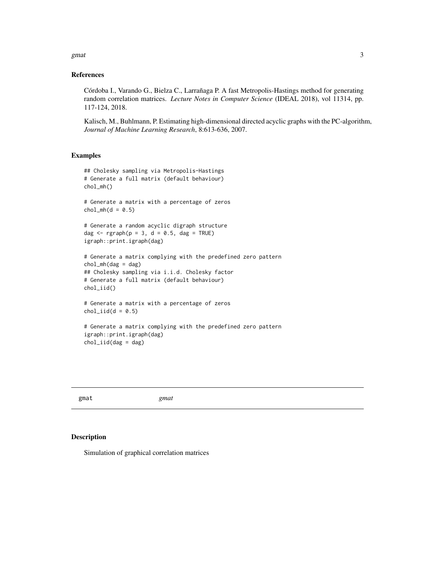<span id="page-2-0"></span>gmat  $\sim$  3

#### References

Córdoba I., Varando G., Bielza C., Larrañaga P. A fast Metropolis-Hastings method for generating random correlation matrices. *Lecture Notes in Computer Science* (IDEAL 2018), vol 11314, pp. 117-124, 2018.

Kalisch, M., Buhlmann, P. Estimating high-dimensional directed acyclic graphs with the PC-algorithm, *Journal of Machine Learning Research*, 8:613-636, 2007.

#### Examples

```
## Cholesky sampling via Metropolis-Hastings
# Generate a full matrix (default behaviour)
chol_mh()
# Generate a matrix with a percentage of zeros
chol_mh(d = 0.5)# Generate a random acyclic digraph structure
dag \leq rgraph(p = 3, d = 0.5, dag = TRUE)
igraph::print.igraph(dag)
# Generate a matrix complying with the predefined zero pattern
chol_mh(dag = dag)## Cholesky sampling via i.i.d. Cholesky factor
# Generate a full matrix (default behaviour)
chol_iid()
# Generate a matrix with a percentage of zeros
chol\_iid(d = 0.5)# Generate a matrix complying with the predefined zero pattern
igraph::print.igraph(dag)
chol_iid(dag = dag)
```

| gmat | gmat |
|------|------|
|      |      |

#### Description

Simulation of graphical correlation matrices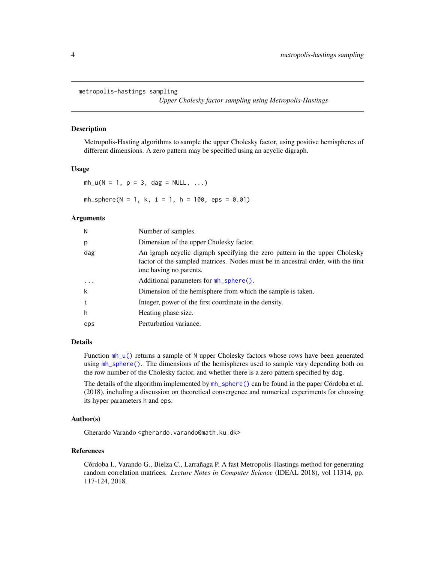```
metropolis-hastings sampling
```
*Upper Cholesky factor sampling using Metropolis-Hastings*

#### <span id="page-3-1"></span>Description

Metropolis-Hasting algorithms to sample the upper Cholesky factor, using positive hemispheres of different dimensions. A zero pattern may be specified using an acyclic digraph.

#### Usage

 $mh_u(N = 1, p = 3, dag = NULL, ...)$ 

 $mh_sphere(N = 1, k, i = 1, h = 100,eps = 0.01)$ 

#### **Arguments**

| N            | Number of samples.                                                                                                                                                                        |
|--------------|-------------------------------------------------------------------------------------------------------------------------------------------------------------------------------------------|
| p            | Dimension of the upper Cholesky factor.                                                                                                                                                   |
| dag          | An igraph acyclic digraph specifying the zero pattern in the upper Cholesky<br>factor of the sampled matrices. Nodes must be in ancestral order, with the first<br>one having no parents. |
| $\cdots$     | Additional parameters for mh_sphere().                                                                                                                                                    |
| k            | Dimension of the hemisphere from which the sample is taken.                                                                                                                               |
| $\mathbf{i}$ | Integer, power of the first coordinate in the density.                                                                                                                                    |
| h            | Heating phase size.                                                                                                                                                                       |
| eps          | Perturbation variance.                                                                                                                                                                    |

#### Details

Function  $mh_u()$  returns a sample of N upper Cholesky factors whose rows have been generated using [mh\\_sphere\(\)](#page-3-1). The dimensions of the hemispheres used to sample vary depending both on the row number of the Cholesky factor, and whether there is a zero pattern specified by dag.

The details of the algorithm implemented by [mh\\_sphere\(\)](#page-3-1) can be found in the paper Córdoba et al. (2018), including a discussion on theoretical convergence and numerical experiments for choosing its hyper parameters h and eps.

#### Author(s)

Gherardo Varando <gherardo.varando@math.ku.dk>

#### References

Córdoba I., Varando G., Bielza C., Larrañaga P. A fast Metropolis-Hastings method for generating random correlation matrices. *Lecture Notes in Computer Science* (IDEAL 2018), vol 11314, pp. 117-124, 2018.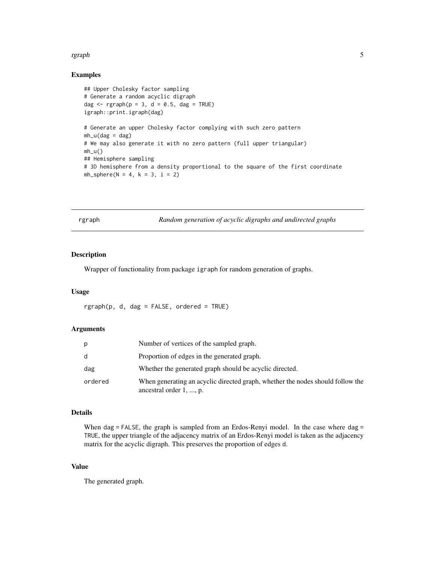#### <span id="page-4-0"></span>rgraph 55 and 55 and 55 and 55 and 55 and 55 and 55 and 55 and 55 and 55 and 55 and 55 and 55 and 55 and 55 and 55 and 55 and 55 and 55 and 55 and 55 and 55 and 55 and 55 and 55 and 55 and 55 and 55 and 55 and 55 and 55 an

#### Examples

```
## Upper Cholesky factor sampling
# Generate a random acyclic digraph
dag \leq rgraph(p = 3, d = 0.5, dag = TRUE)
igraph::print.igraph(dag)
# Generate an upper Cholesky factor complying with such zero pattern
mh_u(dag = dag)# We may also generate it with no zero pattern (full upper triangular)
mh_u()## Hemisphere sampling
# 3D hemisphere from a density proportional to the square of the first coordinate
mh_sphere(N = 4, k = 3, i = 2)
```

| aph |
|-----|
|-----|

Random generation of acyclic digraphs and undirected graphs

#### Description

Wrapper of functionality from package igraph for random generation of graphs.

#### Usage

 $rgraph(p, d, dag = FALSE, ordered = TRUE)$ 

#### Arguments

| p       | Number of vertices of the sampled graph.                                                                  |
|---------|-----------------------------------------------------------------------------------------------------------|
| d       | Proportion of edges in the generated graph.                                                               |
| dag     | Whether the generated graph should be acyclic directed.                                                   |
| ordered | When generating an acyclic directed graph, whether the nodes should follow the<br>ancestral order 1, , p. |

#### Details

When dag = FALSE, the graph is sampled from an Erdos-Renyi model. In the case where dag = TRUE, the upper triangle of the adjacency matrix of an Erdos-Renyi model is taken as the adjacency matrix for the acyclic digraph. This preserves the proportion of edges d.

#### Value

The generated graph.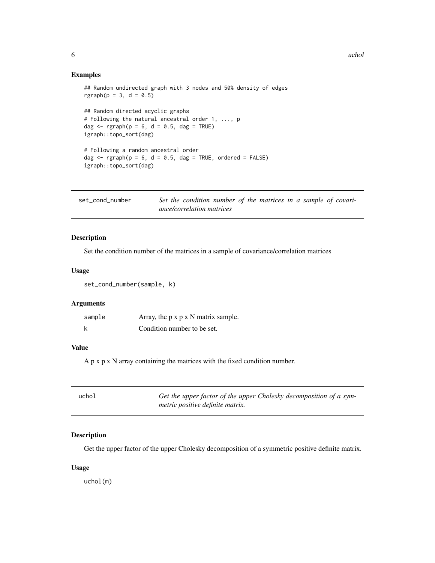#### <span id="page-5-0"></span>Examples

## Random undirected graph with 3 nodes and 50% density of edges  $rgraph(p = 3, d = 0.5)$ 

```
## Random directed acyclic graphs
# Following the natural ancestral order 1, ..., p
dag \leq rgraph(p = 6, d = 0.5, dag = TRUE)
igraph::topo_sort(dag)
```

```
# Following a random ancestral order
dag \leq rgraph(p = 6, d = 0.5, dag = TRUE, ordered = FALSE)
igraph::topo_sort(dag)
```
set\_cond\_number *Set the condition number of the matrices in a sample of covariance/correlation matrices*

#### Description

Set the condition number of the matrices in a sample of covariance/correlation matrices

#### Usage

set\_cond\_number(sample, k)

#### Arguments

| sample | Array, the $p \times p \times N$ matrix sample. |
|--------|-------------------------------------------------|
| k      | Condition number to be set.                     |

#### Value

A p x p x N array containing the matrices with the fixed condition number.

| uchol | Get the upper factor of the upper Cholesky decomposition of a sym- |
|-------|--------------------------------------------------------------------|
|       | metric positive definite matrix.                                   |

#### Description

Get the upper factor of the upper Cholesky decomposition of a symmetric positive definite matrix.

#### Usage

uchol(m)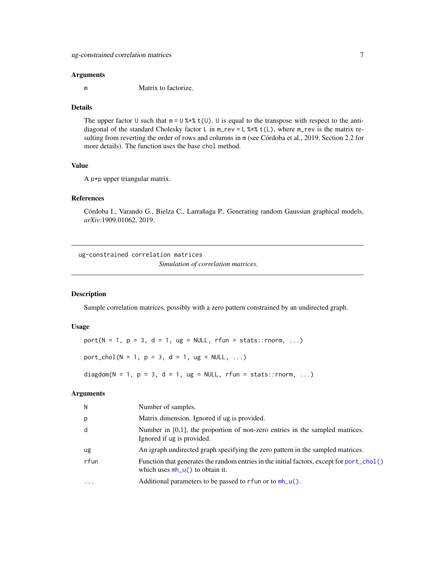#### <span id="page-6-0"></span>Arguments

m Matrix to factorize.

#### Details

The upper factor U such that  $m = U$  %\*%  $t(U)$ . U is equal to the transpose with respect to the antidiagonal of the standard Cholesky factor L in m\_rev = L %\*% t(L), where m\_rev is the matrix resulting from reverting the order of rows and columns in m (see Córdoba et al., 2019, Section 2.2 for more details). The function uses the base chol method.

#### Value

A p\*p upper triangular matrix.

#### References

Córdoba I., Varando G., Bielza C., Larrañaga P., Generating random Gaussian graphical models, *arXiv*:1909.01062, 2019.

ug-constrained correlation matrices

*Simulation of correlation matrices.*

#### <span id="page-6-1"></span>Description

Sample correlation matrices, possibly with a zero pattern constrained by an undirected graph.

#### Usage

 $port(N = 1, p = 3, d = 1, ug = NULL, rfun = stats::rnorm, ...)$ 

 $port\_chol(N = 1, p = 3, d = 1, ug = NULL, ...)$ 

diagdom(N = 1, p = 3, d = 1, ug = NULL, rfun = stats::rnorm, ...)

#### Arguments

| N                 | Number of samples.                                                                                                             |
|-------------------|--------------------------------------------------------------------------------------------------------------------------------|
| p                 | Matrix dimension. Ignored if ug is provided.                                                                                   |
| d                 | Number in $[0,1]$ , the proportion of non-zero entries in the sampled matrices.<br>Ignored if ug is provided.                  |
| ug                | An igraph undirected graph specifying the zero pattern in the sampled matrices.                                                |
| rfun              | Function that generates the random entries in the initial factors, except for port_chol()<br>which uses $mh_u()$ to obtain it. |
| $\cdot\cdot\cdot$ | Additional parameters to be passed to rfun or to $mh_u()$ .                                                                    |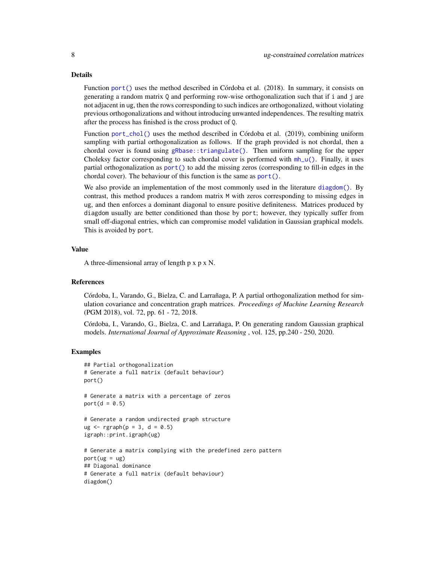#### <span id="page-7-0"></span>Details

Function [port\(\)](#page-6-1) uses the method described in Córdoba et al. (2018). In summary, it consists on generating a random matrix Q and performing row-wise orthogonalization such that if i and j are not adjacent in ug, then the rows corresponding to such indices are orthogonalized, without violating previous orthogonalizations and without introducing unwanted independences. The resulting matrix after the process has finished is the cross product of Q.

Function [port\\_chol\(\)](#page-6-1) uses the method described in Córdoba et al. (2019), combining uniform sampling with partial orthogonalization as follows. If the graph provided is not chordal, then a chordal cover is found using [gRbase::triangulate\(\)](#page-0-0). Then uniform sampling for the upper Choleksy factor corresponding to such chordal cover is performed with  $mh_u()$ . Finally, it uses partial orthogonalization as [port\(\)](#page-6-1) to add the missing zeros (corresponding to fill-in edges in the chordal cover). The behaviour of this function is the same as [port\(\)](#page-6-1).

We also provide an implementation of the most commonly used in the literature [diagdom\(\)](#page-6-1). By contrast, this method produces a random matrix M with zeros corresponding to missing edges in ug, and then enforces a dominant diagonal to ensure positive definiteness. Matrices produced by diagdom usually are better conditioned than those by port; however, they typically suffer from small off-diagonal entries, which can compromise model validation in Gaussian graphical models. This is avoided by port.

#### Value

A three-dimensional array of length p x p x N.

#### References

Córdoba, I., Varando, G., Bielza, C. and Larrañaga, P. A partial orthogonalization method for simulation covariance and concentration graph matrices. *Proceedings of Machine Learning Research* (PGM 2018), vol. 72, pp. 61 - 72, 2018.

Córdoba, I., Varando, G., Bielza, C. and Larrañaga, P. On generating random Gaussian graphical models. *International Journal of Approximate Reasoning* , vol. 125, pp.240 - 250, 2020.

#### Examples

```
## Partial orthogonalization
# Generate a full matrix (default behaviour)
port()
# Generate a matrix with a percentage of zeros
port(d = 0.5)
# Generate a random undirected graph structure
ug < - rgraph(p = 3, d = 0.5)
igraph::print.igraph(ug)
# Generate a matrix complying with the predefined zero pattern
port(ug = ug)## Diagonal dominance
# Generate a full matrix (default behaviour)
diagdom()
```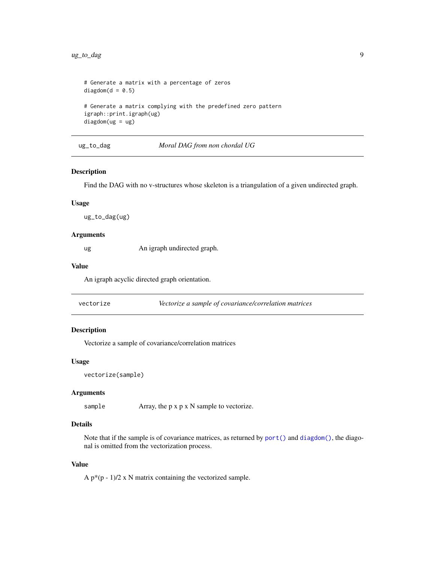```
# Generate a matrix with a percentage of zeros
diagdom(d = 0.5)# Generate a matrix complying with the predefined zero pattern
igraph::print.igraph(ug)
diagdom(ug = ug)
```
ug\_to\_dag *Moral DAG from non chordal UG*

#### Description

Find the DAG with no v-structures whose skeleton is a triangulation of a given undirected graph.

#### Usage

ug\_to\_dag(ug)

#### Arguments

ug An igraph undirected graph.

#### Value

An igraph acyclic directed graph orientation.

vectorize *Vectorize a sample of covariance/correlation matrices*

#### Description

Vectorize a sample of covariance/correlation matrices

#### Usage

```
vectorize(sample)
```
#### Arguments

sample Array, the p x p x N sample to vectorize.

#### Details

Note that if the sample is of covariance matrices, as returned by [port\(\)](#page-6-1) and [diagdom\(\)](#page-6-1), the diagonal is omitted from the vectorization process.

#### Value

A  $p*(p-1)/2$  x N matrix containing the vectorized sample.